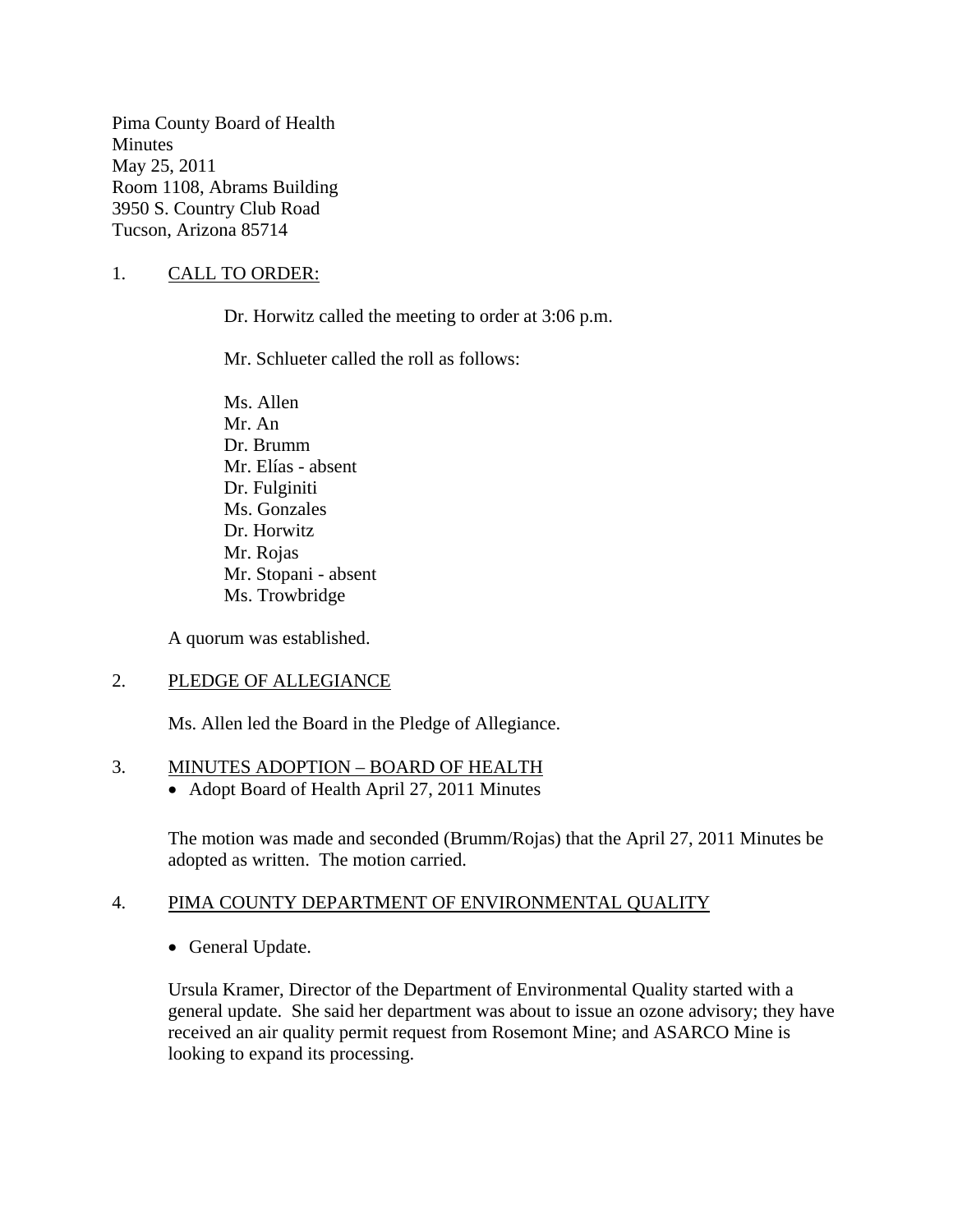Pima County Board of Health Minutes May 25, 2011 Room 1108, Abrams Building 3950 S. Country Club Road Tucson, Arizona 85714

### 1. CALL TO ORDER:

Dr. Horwitz called the meeting to order at 3:06 p.m.

Mr. Schlueter called the roll as follows:

Ms. Allen Mr. An Dr. Brumm Mr. Elías - absent Dr. Fulginiti Ms. Gonzales Dr. Horwitz Mr. Rojas Mr. Stopani - absent Ms. Trowbridge

A quorum was established.

#### 2. PLEDGE OF ALLEGIANCE

Ms. Allen led the Board in the Pledge of Allegiance.

#### 3. MINUTES ADOPTION – BOARD OF HEALTH

• Adopt Board of Health April 27, 2011 Minutes

The motion was made and seconded (Brumm/Rojas) that the April 27, 2011 Minutes be adopted as written. The motion carried.

### 4. PIMA COUNTY DEPARTMENT OF ENVIRONMENTAL QUALITY

• General Update.

Ursula Kramer, Director of the Department of Environmental Quality started with a general update. She said her department was about to issue an ozone advisory; they have received an air quality permit request from Rosemont Mine; and ASARCO Mine is looking to expand its processing.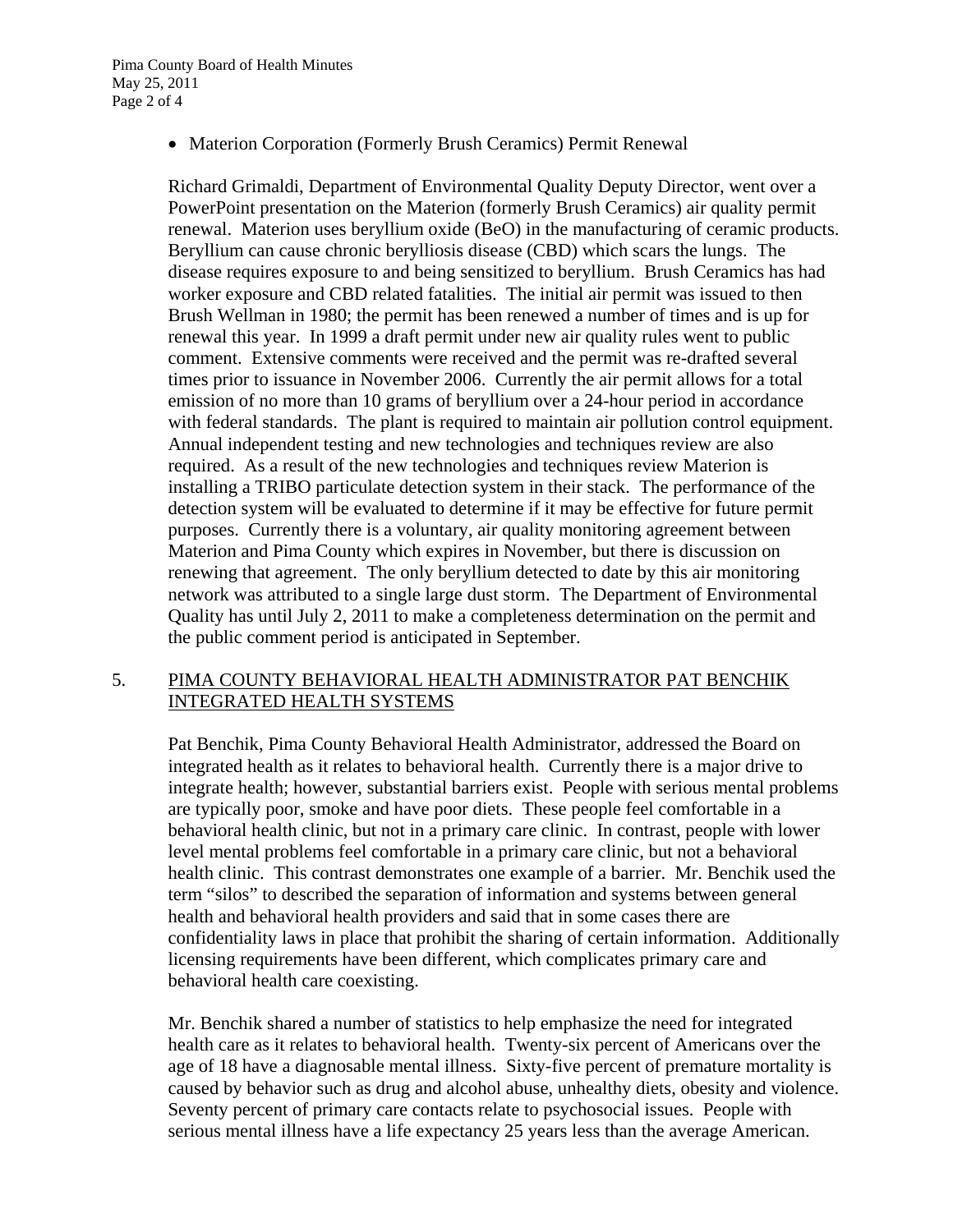• Materion Corporation (Formerly Brush Ceramics) Permit Renewal

Richard Grimaldi, Department of Environmental Quality Deputy Director, went over a PowerPoint presentation on the Materion (formerly Brush Ceramics) air quality permit renewal. Materion uses beryllium oxide (BeO) in the manufacturing of ceramic products. Beryllium can cause chronic berylliosis disease (CBD) which scars the lungs. The disease requires exposure to and being sensitized to beryllium. Brush Ceramics has had worker exposure and CBD related fatalities. The initial air permit was issued to then Brush Wellman in 1980; the permit has been renewed a number of times and is up for renewal this year. In 1999 a draft permit under new air quality rules went to public comment. Extensive comments were received and the permit was re-drafted several times prior to issuance in November 2006. Currently the air permit allows for a total emission of no more than 10 grams of beryllium over a 24-hour period in accordance with federal standards. The plant is required to maintain air pollution control equipment. Annual independent testing and new technologies and techniques review are also required. As a result of the new technologies and techniques review Materion is installing a TRIBO particulate detection system in their stack. The performance of the detection system will be evaluated to determine if it may be effective for future permit purposes. Currently there is a voluntary, air quality monitoring agreement between Materion and Pima County which expires in November, but there is discussion on renewing that agreement. The only beryllium detected to date by this air monitoring network was attributed to a single large dust storm. The Department of Environmental Quality has until July 2, 2011 to make a completeness determination on the permit and the public comment period is anticipated in September.

#### 5. PIMA COUNTY BEHAVIORAL HEALTH ADMINISTRATOR PAT BENCHIK INTEGRATED HEALTH SYSTEMS

Pat Benchik, Pima County Behavioral Health Administrator, addressed the Board on integrated health as it relates to behavioral health. Currently there is a major drive to integrate health; however, substantial barriers exist. People with serious mental problems are typically poor, smoke and have poor diets. These people feel comfortable in a behavioral health clinic, but not in a primary care clinic. In contrast, people with lower level mental problems feel comfortable in a primary care clinic, but not a behavioral health clinic. This contrast demonstrates one example of a barrier. Mr. Benchik used the term "silos" to described the separation of information and systems between general health and behavioral health providers and said that in some cases there are confidentiality laws in place that prohibit the sharing of certain information. Additionally licensing requirements have been different, which complicates primary care and behavioral health care coexisting.

Mr. Benchik shared a number of statistics to help emphasize the need for integrated health care as it relates to behavioral health. Twenty-six percent of Americans over the age of 18 have a diagnosable mental illness. Sixty-five percent of premature mortality is caused by behavior such as drug and alcohol abuse, unhealthy diets, obesity and violence. Seventy percent of primary care contacts relate to psychosocial issues. People with serious mental illness have a life expectancy 25 years less than the average American.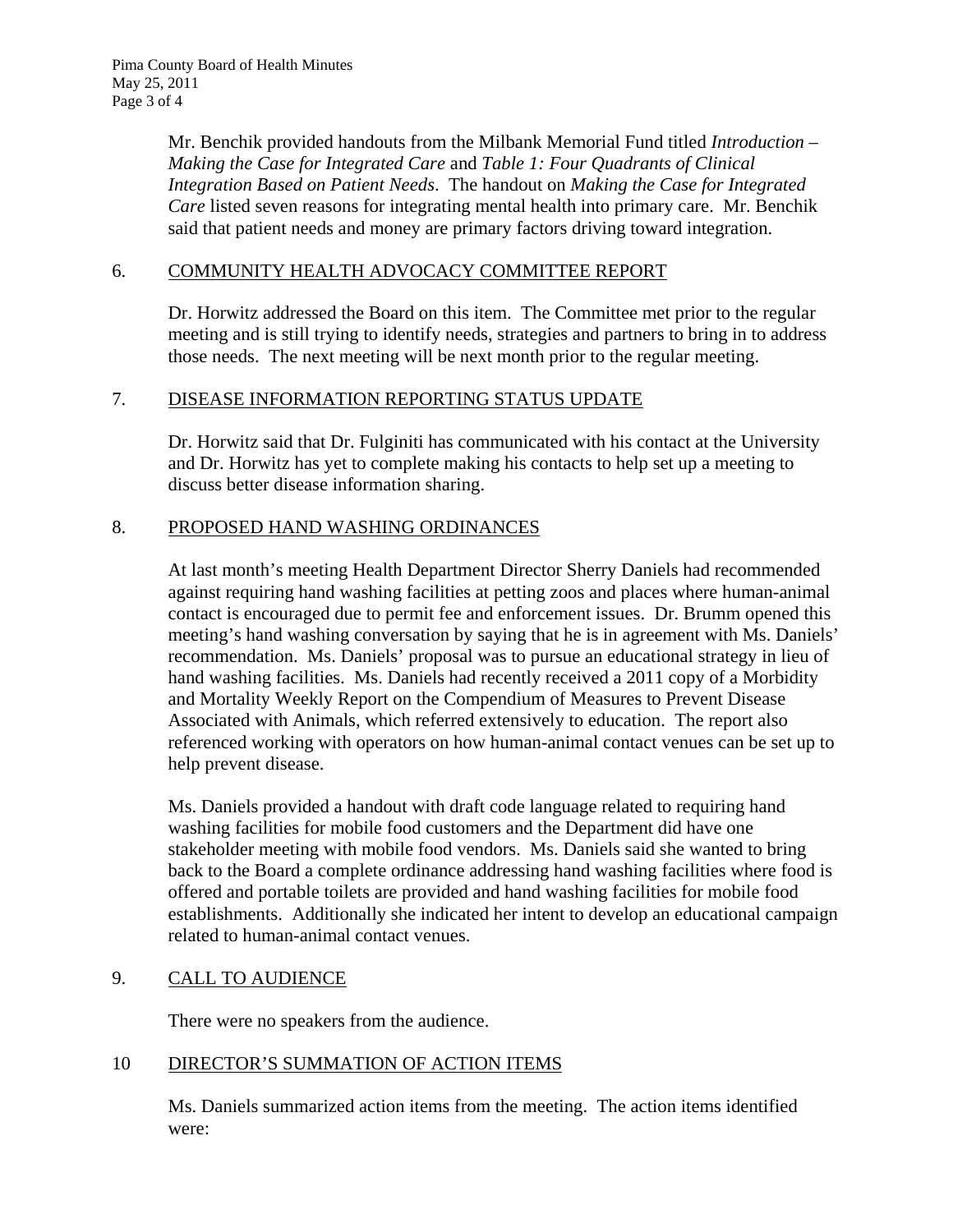Mr. Benchik provided handouts from the Milbank Memorial Fund titled *Introduction – Making the Case for Integrated Care* and *Table 1: Four Quadrants of Clinical Integration Based on Patient Needs*. The handout on *Making the Case for Integrated Care* listed seven reasons for integrating mental health into primary care. Mr. Benchik said that patient needs and money are primary factors driving toward integration.

### 6. COMMUNITY HEALTH ADVOCACY COMMITTEE REPORT

Dr. Horwitz addressed the Board on this item. The Committee met prior to the regular meeting and is still trying to identify needs, strategies and partners to bring in to address those needs. The next meeting will be next month prior to the regular meeting.

#### 7. DISEASE INFORMATION REPORTING STATUS UPDATE

Dr. Horwitz said that Dr. Fulginiti has communicated with his contact at the University and Dr. Horwitz has yet to complete making his contacts to help set up a meeting to discuss better disease information sharing.

#### 8. PROPOSED HAND WASHING ORDINANCES

At last month's meeting Health Department Director Sherry Daniels had recommended against requiring hand washing facilities at petting zoos and places where human-animal contact is encouraged due to permit fee and enforcement issues. Dr. Brumm opened this meeting's hand washing conversation by saying that he is in agreement with Ms. Daniels' recommendation. Ms. Daniels' proposal was to pursue an educational strategy in lieu of hand washing facilities. Ms. Daniels had recently received a 2011 copy of a [Morbidity](http://www.cdc.gov/mmwr/)  [and Mortality Weekly Report o](http://www.cdc.gov/mmwr/)n the Compendium of Measures to Prevent Disease Associated with Animals, which referred extensively to education. The report also referenced working with operators on how human-animal contact venues can be set up to help prevent disease.

Ms. Daniels provided a handout with draft code language related to requiring hand washing facilities for mobile food customers and the Department did have one stakeholder meeting with mobile food vendors. Ms. Daniels said she wanted to bring back to the Board a complete ordinance addressing hand washing facilities where food is offered and portable toilets are provided and hand washing facilities for mobile food establishments. Additionally she indicated her intent to develop an educational campaign related to human-animal contact venues.

### 9. CALL TO AUDIENCE

There were no speakers from the audience.

## 10 DIRECTOR'S SUMMATION OF ACTION ITEMS

Ms. Daniels summarized action items from the meeting. The action items identified were: